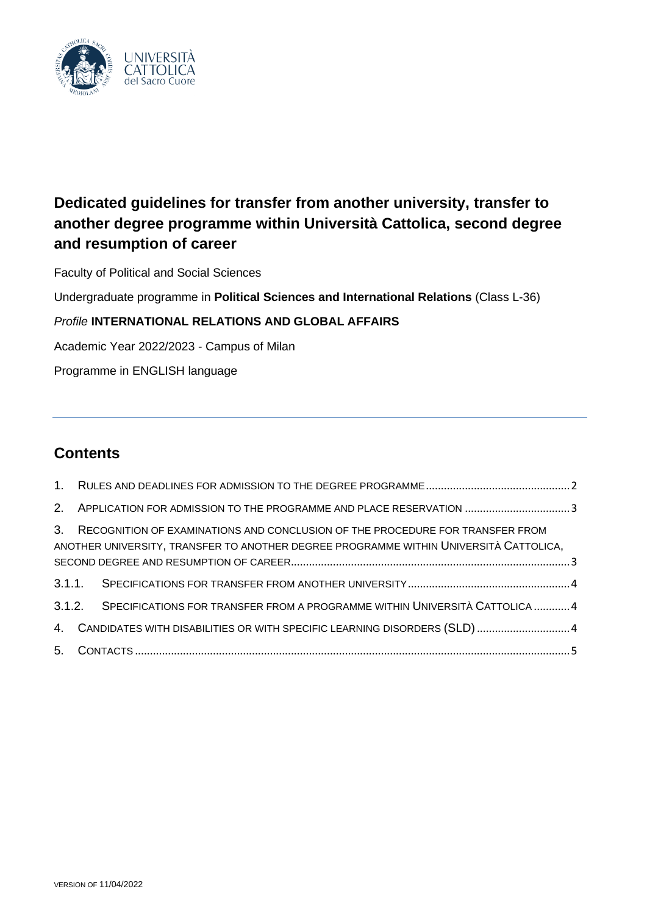

# **Dedicated guidelines for transfer from another university, transfer to another degree programme within Università Cattolica, second degree and resumption of career**

Faculty of Political and Social Sciences

Undergraduate programme in **Political Sciences and International Relations** (Class L-36)

# *Profile* **INTERNATIONAL RELATIONS AND GLOBAL AFFAIRS**

Academic Year 2022/2023 - Campus of Milan

Programme in ENGLISH language

# **Contents**

| 2. APPLICATION FOR ADMISSION TO THE PROGRAMME AND PLACE RESERVATION 3                                                                                                     |
|---------------------------------------------------------------------------------------------------------------------------------------------------------------------------|
| 3. RECOGNITION OF EXAMINATIONS AND CONCLUSION OF THE PROCEDURE FOR TRANSFER FROM<br>ANOTHER UNIVERSITY, TRANSFER TO ANOTHER DEGREE PROGRAMME WITHIN UNIVERSITÀ CATTOLICA, |
|                                                                                                                                                                           |
| 3.1.2. SPECIFICATIONS FOR TRANSFER FROM A PROGRAMME WITHIN UNIVERSITÀ CATTOLICA  4                                                                                        |
| 4. CANDIDATES WITH DISABILITIES OR WITH SPECIFIC LEARNING DISORDERS (SLD) 4                                                                                               |
|                                                                                                                                                                           |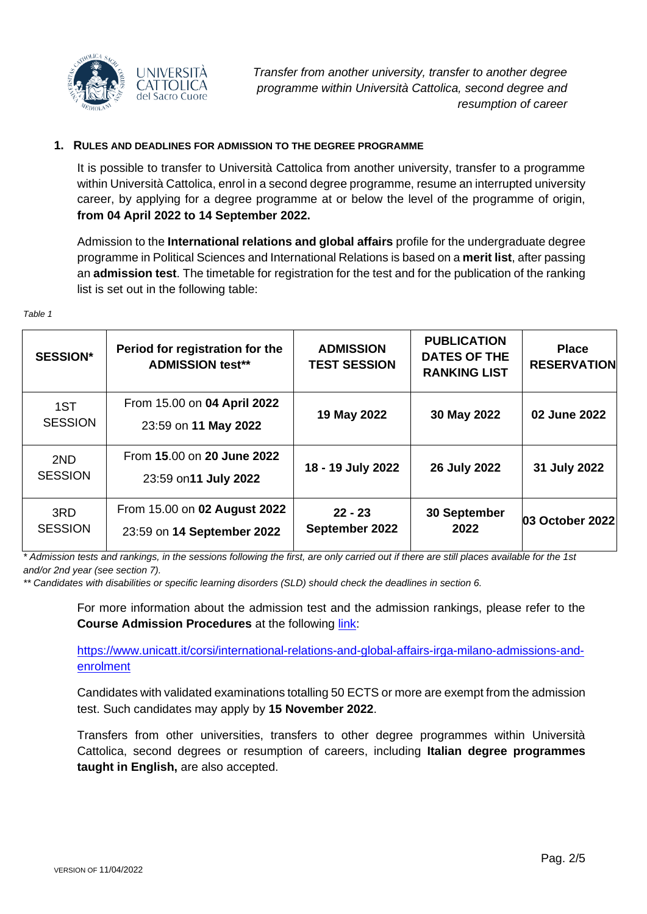

### <span id="page-1-0"></span>**1. RULES AND DEADLINES FOR ADMISSION TO THE DEGREE PROGRAMME**

It is possible to transfer to Università Cattolica from another university, transfer to a programme within Università Cattolica, enrol in a second degree programme, resume an interrupted university career, by applying for a degree programme at or below the level of the programme of origin, **from 04 April 2022 to 14 September 2022.**

Admission to the **International relations and global affairs** profile for the undergraduate degree programme in Political Sciences and International Relations is based on a **merit list**, after passing an **admission test**. The timetable for registration for the test and for the publication of the ranking list is set out in the following table:

| <b>SESSION*</b>       | Period for registration for the<br><b>ADMISSION test**</b> | <b>ADMISSION</b><br><b>TEST SESSION</b> | <b>PUBLICATION</b><br><b>DATES OF THE</b><br><b>RANKING LIST</b> | <b>Place</b><br><b>RESERVATION</b> |
|-----------------------|------------------------------------------------------------|-----------------------------------------|------------------------------------------------------------------|------------------------------------|
| 1ST<br><b>SESSION</b> | From 15.00 on 04 April 2022<br>23:59 on 11 May 2022        | 19 May 2022                             | 30 May 2022                                                      | 02 June 2022                       |
| 2ND<br><b>SESSION</b> | From 15.00 on 20 June 2022<br>23:59 on 11 July 2022        | 18 - 19 July 2022                       | 26 July 2022                                                     | 31 July 2022                       |
| 3RD<br><b>SESSION</b> | From 15.00 on 02 August 2022<br>23:59 on 14 September 2022 | $22 - 23$<br>September 2022             | 30 September<br>2022                                             | 03 October 2022                    |

*\* Admission tests and rankings, in the sessions following the first, are only carried out if there are still places available for the 1st and/or 2nd year (see section 7).*

*\*\* Candidates with disabilities or specific learning disorders (SLD) should check the deadlines in section 6.*

For more information about the admission test and the admission rankings, please refer to the **Course Admission Procedures** at the following [link:](https://www.unicatt.it/corsi/international-relations-and-global-affairs-irga-milano-admissions-and-enrolment)

[https://www.unicatt.it/corsi/international-relations-and-global-affairs-irga-milano-admissions-and](https://www.unicatt.it/corsi/international-relations-and-global-affairs-irga-milano-admissions-and-enrolment)[enrolment](https://www.unicatt.it/corsi/international-relations-and-global-affairs-irga-milano-admissions-and-enrolment)

Candidates with validated examinations totalling 50 ECTS or more are exempt from the admission test. Such candidates may apply by **15 November 2022**.

Transfers from other universities, transfers to other degree programmes within Università Cattolica, second degrees or resumption of careers, including **Italian degree programmes taught in English,** are also accepted.

*Table 1*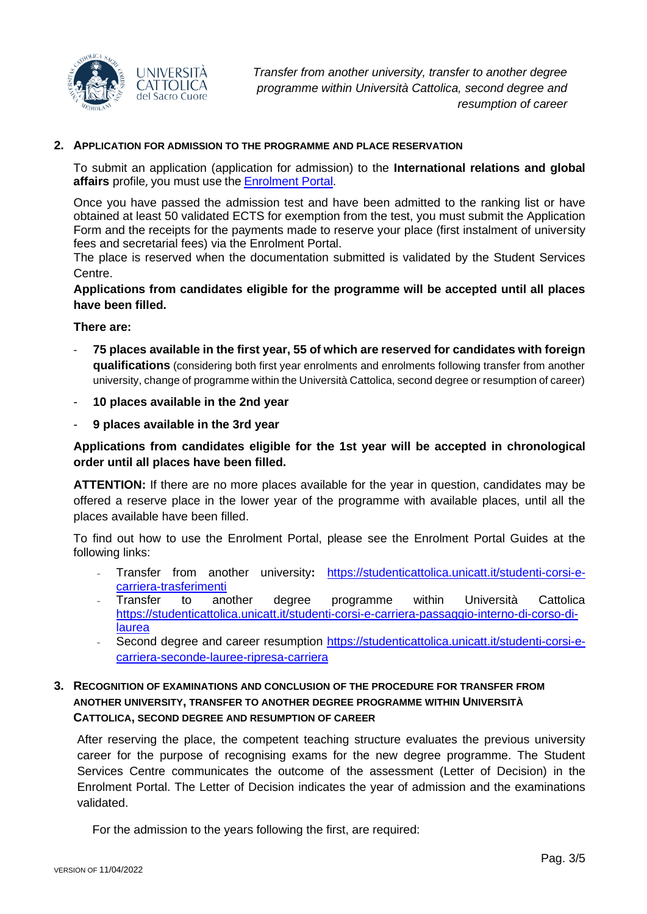

#### <span id="page-2-0"></span>**2. APPLICATION FOR ADMISSION TO THE PROGRAMME AND PLACE RESERVATION**

To submit an application (application for admission) to the **International relations and global affairs** profile, you must use the [Enrolment Portal](https://iscrizioni.unicatt.it/iscrizioni).

Once you have passed the admission test and have been admitted to the ranking list or have obtained at least 50 validated ECTS for exemption from the test, you must submit the Application Form and the receipts for the payments made to reserve your place (first instalment of university fees and secretarial fees) via the Enrolment Portal.

The place is reserved when the documentation submitted is validated by the Student Services Centre.

**Applications from candidates eligible for the programme will be accepted until all places have been filled.**

**There are:**

- **75 places available in the first year, 55 of which are reserved for candidates with foreign qualifications** (considering both first year enrolments and enrolments following transfer from another university, change of programme within the Università Cattolica, second degree or resumption of career)
- **10 places available in the 2nd year**
- **9 places available in the 3rd year**

# **Applications from candidates eligible for the 1st year will be accepted in chronological order until all places have been filled.**

**ATTENTION:** If there are no more places available for the year in question, candidates may be offered a reserve place in the lower year of the programme with available places, until all the places available have been filled.

To find out how to use the Enrolment Portal, please see the Enrolment Portal Guides at the following links:

- Transfer from another university**:** [https://studenticattolica.unicatt.it/studenti-corsi-e](https://studenticattolica.unicatt.it/studenti-corsi-e-carriera-trasferimenti)[carriera-trasferimenti](https://studenticattolica.unicatt.it/studenti-corsi-e-carriera-trasferimenti)
- Transfer to another degree programme within Università Cattolica [https://studenticattolica.unicatt.it/studenti-corsi-e-carriera-passaggio-interno-di-corso-di](https://studenticattolica.unicatt.it/studenti-corsi-e-carriera-passaggio-interno-di-corso-di-laurea)[laurea](https://studenticattolica.unicatt.it/studenti-corsi-e-carriera-passaggio-interno-di-corso-di-laurea)
- Second degree and career resumption [https://studenticattolica.unicatt.it/studenti-corsi-e](https://studenticattolica.unicatt.it/studenti-corsi-e-carriera-seconde-lauree-ripresa-carriera)[carriera-seconde-lauree-ripresa-carriera](https://studenticattolica.unicatt.it/studenti-corsi-e-carriera-seconde-lauree-ripresa-carriera)

# <span id="page-2-1"></span>**3. RECOGNITION OF EXAMINATIONS AND CONCLUSION OF THE PROCEDURE FOR TRANSFER FROM ANOTHER UNIVERSITY, TRANSFER TO ANOTHER DEGREE PROGRAMME WITHIN UNIVERSITÀ CATTOLICA, SECOND DEGREE AND RESUMPTION OF CAREER**

After reserving the place, the competent teaching structure evaluates the previous university career for the purpose of recognising exams for the new degree programme. The Student Services Centre communicates the outcome of the assessment (Letter of Decision) in the Enrolment Portal. The Letter of Decision indicates the year of admission and the examinations validated.

For the admission to the years following the first, are required: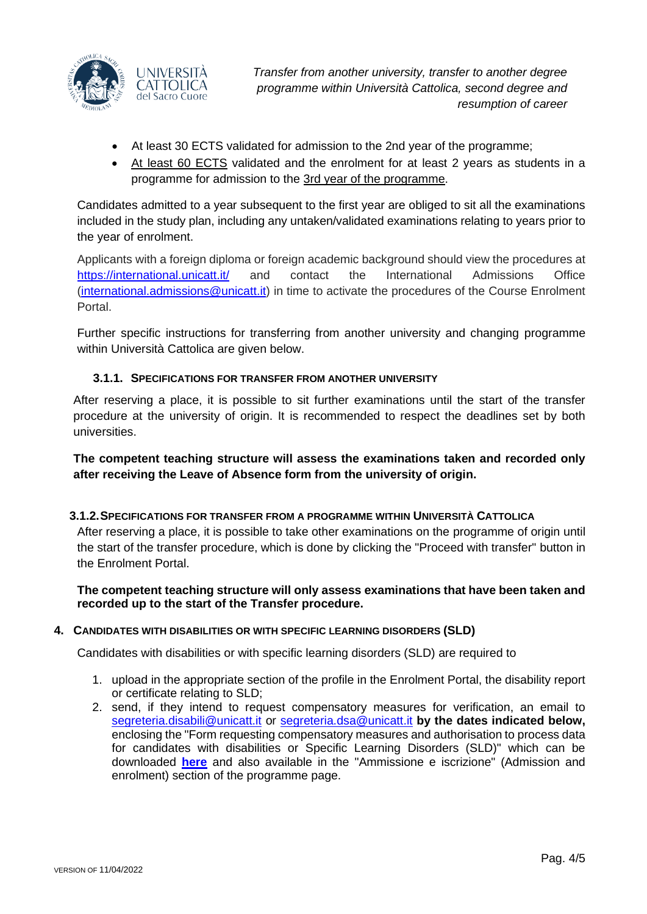

*Transfer from another university, transfer to another degree programme within Università Cattolica, second degree and resumption of career*

- At least 30 ECTS validated for admission to the 2nd year of the programme;
- At least 60 ECTS validated and the enrolment for at least 2 years as students in a programme for admission to the 3rd year of the programme.

Candidates admitted to a year subsequent to the first year are obliged to sit all the examinations included in the study plan, including any untaken/validated examinations relating to years prior to the year of enrolment.

Applicants with a foreign diploma or foreign academic background should view the procedures at <https://international.unicatt.it/> and contact the International Admissions Office [\(international.admissions@unicatt.it\)](mailto:international.admissions@unicatt.it) in time to activate the procedures of the Course Enrolment Portal.

Further specific instructions for transferring from another university and changing programme within Università Cattolica are given below.

# **3.1.1. SPECIFICATIONS FOR TRANSFER FROM ANOTHER UNIVERSITY**

<span id="page-3-0"></span>After reserving a place, it is possible to sit further examinations until the start of the transfer procedure at the university of origin. It is recommended to respect the deadlines set by both universities.

**The competent teaching structure will assess the examinations taken and recorded only after receiving the Leave of Absence form from the university of origin.**

### <span id="page-3-1"></span>**3.1.2.SPECIFICATIONS FOR TRANSFER FROM A PROGRAMME WITHIN UNIVERSITÀ CATTOLICA**

After reserving a place, it is possible to take other examinations on the programme of origin until the start of the transfer procedure, which is done by clicking the "Proceed with transfer" button in the Enrolment Portal.

**The competent teaching structure will only assess examinations that have been taken and recorded up to the start of the Transfer procedure.**

### <span id="page-3-2"></span>**4. CANDIDATES WITH DISABILITIES OR WITH SPECIFIC LEARNING DISORDERS (SLD)**

Candidates with disabilities or with specific learning disorders (SLD) are required to

- 1. upload in the appropriate section of the profile in the Enrolment Portal, the disability report or certificate relating to SLD;
- 2. send, if they intend to request compensatory measures for verification, an email to [segreteria.disabili@unicatt.it](mailto:segreteria.disabili@unicatt.it) or [segreteria.dsa@unicatt.it](mailto:segreteria.dsa@unicatt.it) **by the dates indicated below,** enclosing the "Form requesting compensatory measures and authorisation to process data for candidates with disabilities or Specific Learning Disorders (SLD)" which can be downloaded **[here](https://studenticattolica.unicatt.it/disabilita-e-dsa-prove-di-ammissione-vpi-e-ofa)** and also available in the "Ammissione e iscrizione" (Admission and enrolment) section of the programme page.